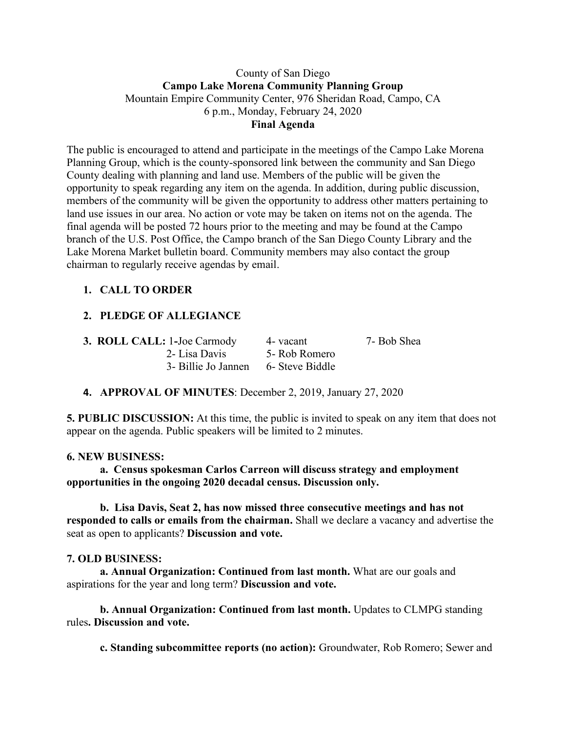### County of San Diego **Campo Lake Morena Community Planning Group** Mountain Empire Community Center, 976 Sheridan Road, Campo, CA 6 p.m., Monday, February 24, 2020 **Final Agenda**

The public is encouraged to attend and participate in the meetings of the Campo Lake Morena Planning Group, which is the county-sponsored link between the community and San Diego County dealing with planning and land use. Members of the public will be given the opportunity to speak regarding any item on the agenda. In addition, during public discussion, members of the community will be given the opportunity to address other matters pertaining to land use issues in our area. No action or vote may be taken on items not on the agenda. The final agenda will be posted 72 hours prior to the meeting and may be found at the Campo branch of the U.S. Post Office, the Campo branch of the San Diego County Library and the Lake Morena Market bulletin board. Community members may also contact the group chairman to regularly receive agendas by email.

# **1. CALL TO ORDER**

# **2. PLEDGE OF ALLEGIANCE**

| <b>3. ROLL CALL: 1-Joe Carmody</b>  | 4- vacant     | 7- Bob Shea |
|-------------------------------------|---------------|-------------|
| 2- Lisa Davis                       | 5- Rob Romero |             |
| 3- Billie Jo Jannen 6- Steve Biddle |               |             |

## **4. APPROVAL OF MINUTES**: December 2, 2019, January 27, 2020

**5. PUBLIC DISCUSSION:** At this time, the public is invited to speak on any item that does not appear on the agenda. Public speakers will be limited to 2 minutes.

#### **6. NEW BUSINESS:**

**a. Census spokesman Carlos Carreon will discuss strategy and employment opportunities in the ongoing 2020 decadal census. Discussion only.**

**b. Lisa Davis, Seat 2, has now missed three consecutive meetings and has not responded to calls or emails from the chairman.** Shall we declare a vacancy and advertise the seat as open to applicants? **Discussion and vote.**

#### **7. OLD BUSINESS:**

**a. Annual Organization: Continued from last month.** What are our goals and aspirations for the year and long term? **Discussion and vote.**

**b. Annual Organization: Continued from last month.** Updates to CLMPG standing rules**. Discussion and vote.**

**c. Standing subcommittee reports (no action):** Groundwater, Rob Romero; Sewer and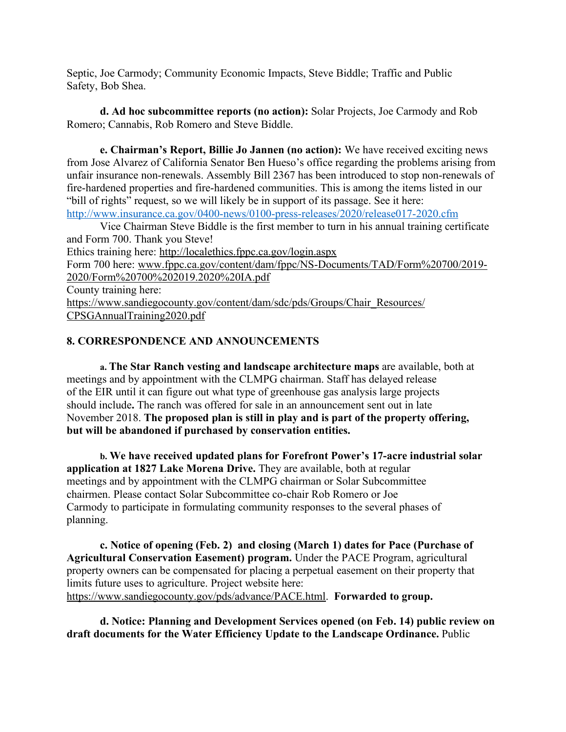Septic, Joe Carmody; Community Economic Impacts, Steve Biddle; Traffic and Public Safety, Bob Shea.

**d. Ad hoc subcommittee reports (no action):** Solar Projects, Joe Carmody and Rob Romero; Cannabis, Rob Romero and Steve Biddle.

**e. Chairman's Report, Billie Jo Jannen (no action):** We have received exciting news from Jose Alvarez of California Senator Ben Hueso's office regarding the problems arising from unfair insurance non-renewals. Assembly Bill 2367 has been introduced to stop non-renewals of fire-hardened properties and fire-hardened communities. This is among the items listed in our "bill of rights" request, so we will likely be in support of its passage. See it here: http://www.insurance.ca.gov/0400-news/0100-press-releases/2020/release017-2020.cfm

Vice Chairman Steve Biddle is the first member to turn in his annual training certificate and Form 700. Thank you Steve!

Ethics training here: http://localethics.fppc.ca.gov/login.aspx

Form 700 here: www.fppc.ca.gov/content/dam/fppc/NS-Documents/TAD/Form%20700/2019- 2020/Form%20700%202019.2020%20IA.pdf

County training here:

https://www.sandiegocounty.gov/content/dam/sdc/pds/Groups/Chair\_Resources/ CPSGAnnualTraining2020.pdf

## **8. CORRESPONDENCE AND ANNOUNCEMENTS**

**a. The Star Ranch vesting and landscape architecture maps** are available, both at meetings and by appointment with the CLMPG chairman. Staff has delayed release of the EIR until it can figure out what type of greenhouse gas analysis large projects should include**.** The ranch was offered for sale in an announcement sent out in late November 2018. **The proposed plan is still in play and is part of the property offering, but will be abandoned if purchased by conservation entities.**

**b. We have received updated plans for Forefront Power's 17-acre industrial solar application at 1827 Lake Morena Drive.** They are available, both at regular meetings and by appointment with the CLMPG chairman or Solar Subcommittee chairmen. Please contact Solar Subcommittee co-chair Rob Romero or Joe Carmody to participate in formulating community responses to the several phases of planning.

**c. Notice of opening (Feb. 2) and closing (March 1) dates for Pace (Purchase of Agricultural Conservation Easement) program.** Under the PACE Program, agricultural property owners can be compensated for placing a perpetual easement on their property that limits future uses to agriculture. Project website here: https://www.sandiegocounty.gov/pds/advance/PACE.html. **Forwarded to group.**

**d. Notice: Planning and Development Services opened (on Feb. 14) public review on draft documents for the Water Efficiency Update to the Landscape Ordinance.** Public